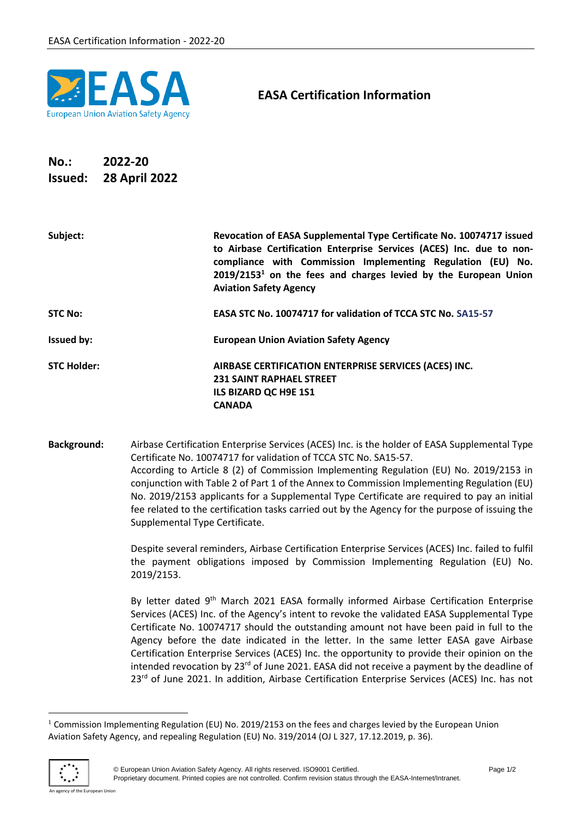

## **EASA Certification Information**

## **No.: 2022-20 Issued: 28 April 2022**

| Subject:           | Revocation of EASA Supplemental Type Certificate No. 10074717 issued<br>to Airbase Certification Enterprise Services (ACES) Inc. due to non-<br>compliance with Commission Implementing Regulation (EU) No.<br>$2019/21531$ on the fees and charges levied by the European Union<br><b>Aviation Safety Agency</b> |
|--------------------|-------------------------------------------------------------------------------------------------------------------------------------------------------------------------------------------------------------------------------------------------------------------------------------------------------------------|
| <b>STC No:</b>     | EASA STC No. 10074717 for validation of TCCA STC No. SA15-57                                                                                                                                                                                                                                                      |
| <b>Issued by:</b>  | <b>European Union Aviation Safety Agency</b>                                                                                                                                                                                                                                                                      |
| <b>STC Holder:</b> | AIRBASE CERTIFICATION ENTERPRISE SERVICES (ACES) INC.                                                                                                                                                                                                                                                             |
|                    | <b>231 SAINT RAPHAEL STREET</b>                                                                                                                                                                                                                                                                                   |
|                    | ILS BIZARD QC H9E 1S1                                                                                                                                                                                                                                                                                             |
|                    | <b>CANADA</b>                                                                                                                                                                                                                                                                                                     |

**Background:** Airbase Certification Enterprise Services (ACES) Inc. is the holder of EASA Supplemental Type Certificate No. 10074717 for validation of TCCA STC No. SA15-57. According to Article 8 (2) of Commission Implementing Regulation (EU) No. 2019/2153 in conjunction with Table 2 of Part 1 of the Annex to Commission Implementing Regulation (EU) No. 2019/2153 applicants for a Supplemental Type Certificate are required to pay an initial fee related to the certification tasks carried out by the Agency for the purpose of issuing the Supplemental Type Certificate.

> Despite several reminders, Airbase Certification Enterprise Services (ACES) Inc. failed to fulfil the payment obligations imposed by Commission Implementing Regulation (EU) No. 2019/2153.

> By letter dated 9<sup>th</sup> March 2021 EASA formally informed Airbase Certification Enterprise Services (ACES) Inc. of the Agency's intent to revoke the validated EASA Supplemental Type Certificate No. 10074717 should the outstanding amount not have been paid in full to the Agency before the date indicated in the letter. In the same letter EASA gave Airbase Certification Enterprise Services (ACES) Inc. the opportunity to provide their opinion on the intended revocation by 23<sup>rd</sup> of June 2021. EASA did not receive a payment by the deadline of 23<sup>rd</sup> of June 2021. In addition, Airbase Certification Enterprise Services (ACES) Inc. has not

<sup>&</sup>lt;sup>1</sup> Commission Implementing Regulation (EU) No. 2019/2153 on the fees and charges levied by the European Union Aviation Safety Agency, and repealing Regulation (EU) No. 319/2014 (OJ L 327, 17.12.2019, p. 36).